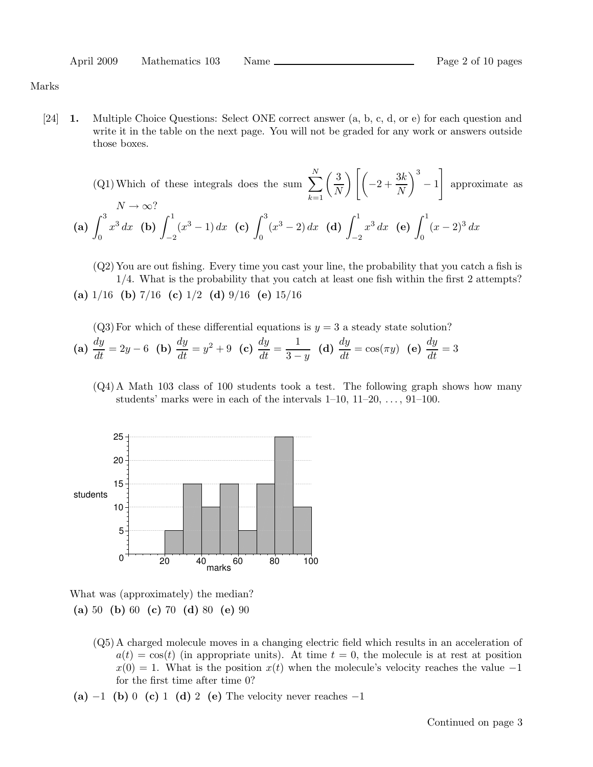Marks

[24] 1. Multiple Choice Questions: Select ONE correct answer (a, b, c, d, or e) for each question and write it in the table on the next page. You will not be graded for any work or answers outside those boxes.

(Q1) Which of these integrals does the sum 
$$
\sum_{k=1}^{N} \left(\frac{3}{N}\right) \left[ \left(-2 + \frac{3k}{N}\right)^3 - 1 \right]
$$
 approximate as  
\n $N \to \infty$ ?  
\n(a)  $\int_0^3 x^3 dx$  (b)  $\int_{-2}^1 (x^3 - 1) dx$  (c)  $\int_0^3 (x^3 - 2) dx$  (d)  $\int_{-2}^1 x^3 dx$  (e)  $\int_0^1 (x - 2)^3 dx$ 

(Q2) You are out fishing. Every time you cast your line, the probability that you catch a fish is 1/4. What is the probability that you catch at least one fish within the first 2 attempts? (a)  $1/16$  (b)  $7/16$  (c)  $1/2$  (d)  $9/16$  (e)  $15/16$ 

(Q3) For which of these differential equations is 
$$
y = 3
$$
 a steady state solution?

(a) 
$$
\frac{dy}{dt} = 2y - 6
$$
 (b)  $\frac{dy}{dt} = y^2 + 9$  (c)  $\frac{dy}{dt} = \frac{1}{3 - y}$  (d)  $\frac{dy}{dt} = \cos(\pi y)$  (e)  $\frac{dy}{dt} = 3$ 

(Q4) A Math 103 class of 100 students took a test. The following graph shows how many students' marks were in each of the intervals  $1-10$ ,  $11-20$ ,  $\dots$ ,  $91-100$ .



What was (approximately) the median? (a) 50 (b) 60 (c) 70 (d) 80 (e) 90

- (Q5) A charged molecule moves in a changing electric field which results in an acceleration of  $a(t) = \cos(t)$  (in appropriate units). At time  $t = 0$ , the molecule is at rest at position  $x(0) = 1$ . What is the position  $x(t)$  when the molecule's velocity reaches the value -1 for the first time after time 0?
- (a) −1 (b) 0 (c) 1 (d) 2 (e) The velocity never reaches  $-1$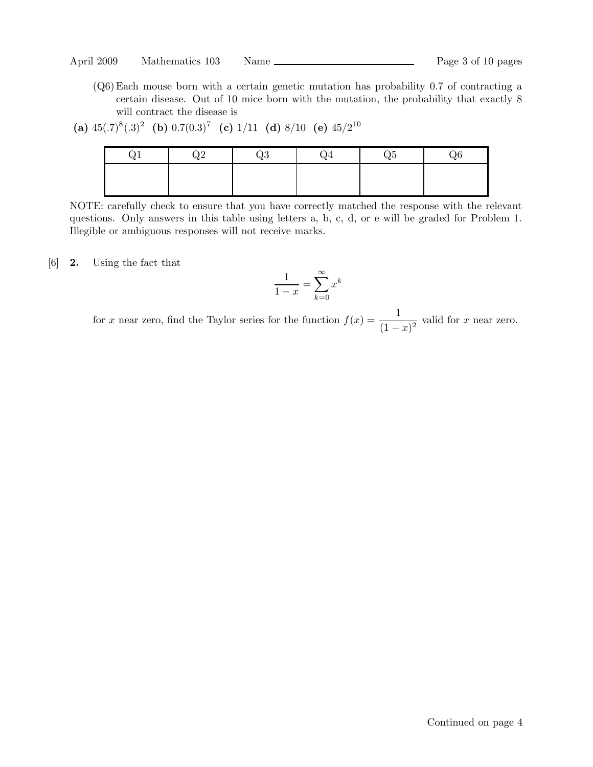(Q6)Each mouse born with a certain genetic mutation has probability 0.7 of contracting a certain disease. Out of 10 mice born with the mutation, the probability that exactly 8 will contract the disease is

```
(a) 45(.7)^8(.3)^2 (b) 0.7(0.3)^7 (c) 1/11 (d) 8/10 (e) 45/2^{10}
```

| $Q^{\intercal}$ | Q2 | Q3 | Q4 | Q5 | Q6 |
|-----------------|----|----|----|----|----|
|                 |    |    |    |    |    |
|                 |    |    |    |    |    |

NOTE: carefully check to ensure that you have correctly matched the response with the relevant questions. Only answers in this table using letters a, b, c, d, or e will be graded for Problem 1. Illegible or ambiguous responses will not receive marks.

[6] 2. Using the fact that

$$
\frac{1}{1-x} = \sum_{k=0}^{\infty} x^k
$$

for x near zero, find the Taylor series for the function  $f(x) = \frac{1}{x+1}$  $\frac{1}{(1-x)^2}$  valid for x near zero.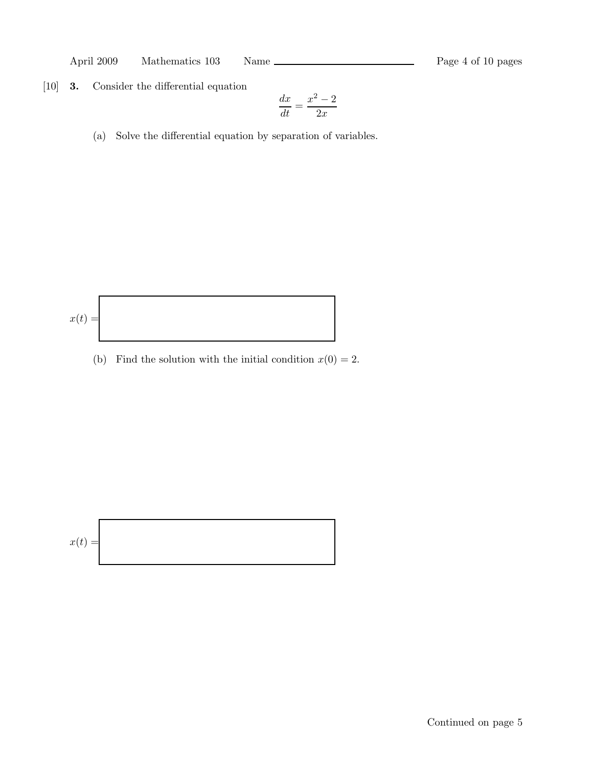April 2009 Mathematics 103 Name Rage 4 of 10 pages

[10] 3. Consider the differential equation

$$
\frac{dx}{dt} = \frac{x^2 - 2}{2x}
$$

(a) Solve the differential equation by separation of variables.

$$
x(t) =
$$

(b) Find the solution with the initial condition  $x(0) = 2$ .

$$
x(t) =
$$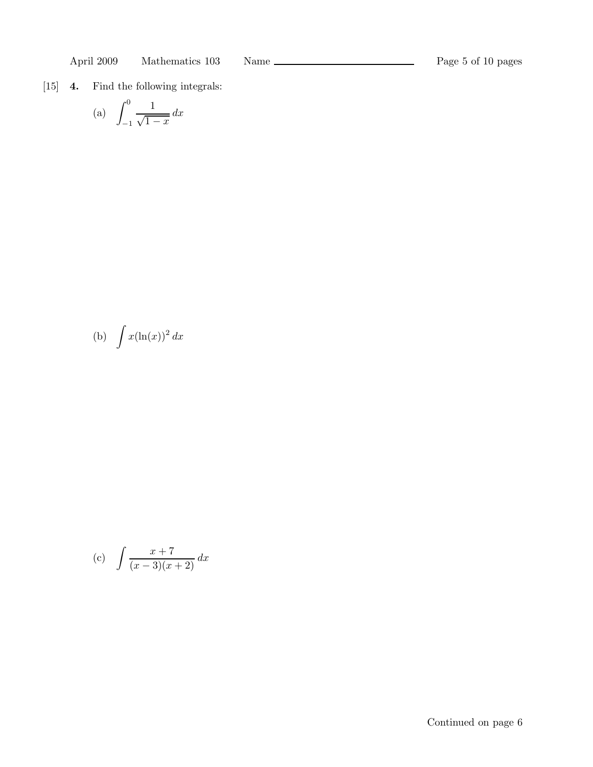[15] 4. Find the following integrals:

(a) 
$$
\int_{-1}^{0} \frac{1}{\sqrt{1-x}} dx
$$

(b) 
$$
\int x(\ln(x))^2 dx
$$

(c) 
$$
\int \frac{x+7}{(x-3)(x+2)} dx
$$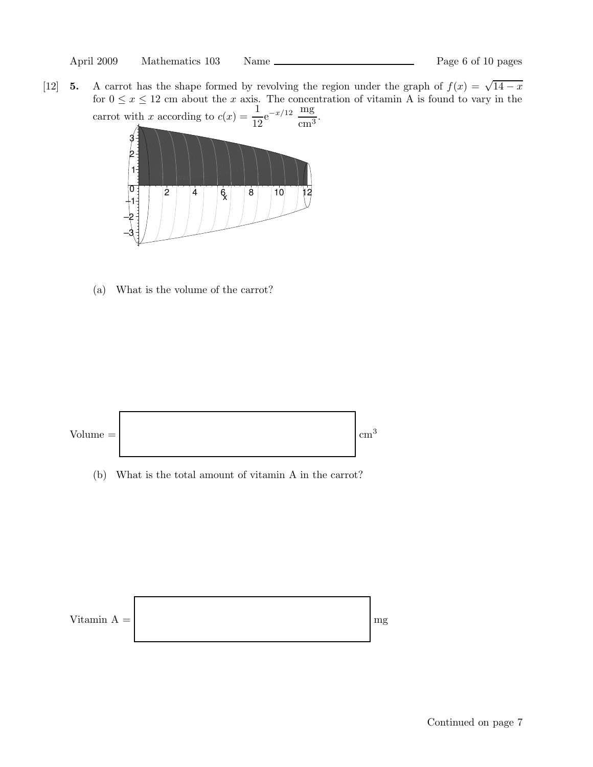[12] 5. A carrot has the shape formed by revolving the region under the graph of  $f(x) = \sqrt{14 - x^2}$ for  $0 \le x \le 12$  cm about the x axis. The concentration of vitamin A is found to vary in the carrot with x according to  $c(x) = \frac{1}{16}$  $\frac{1}{12}e^{-x/12} \frac{mg}{cm^3}$  $\frac{mg}{cm^3}$ .



(a) What is the volume of the carrot?



(b) What is the total amount of vitamin A in the carrot?

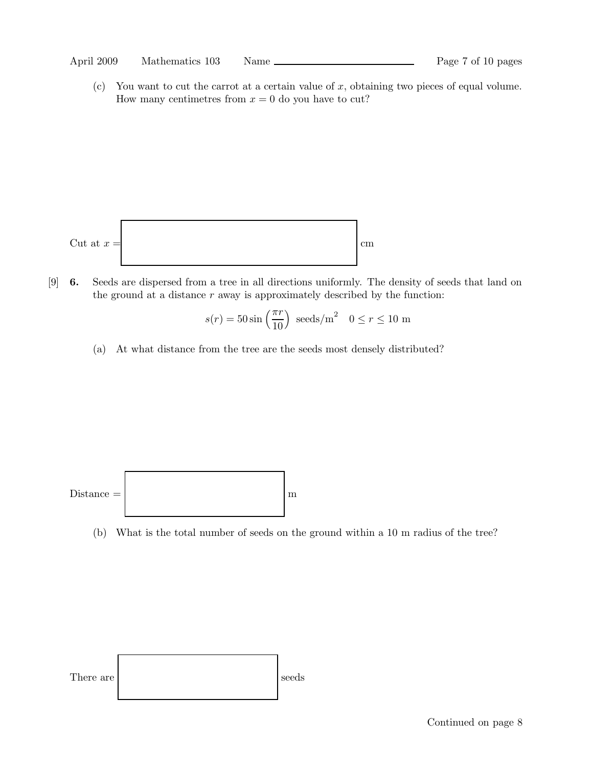#### April 2009 Mathematics 103 Name Page 7 of 10 pages

(c) You want to cut the carrot at a certain value of x, obtaining two pieces of equal volume. How many centimetres from  $x = 0$  do you have to cut?



[9] 6. Seeds are dispersed from a tree in all directions uniformly. The density of seeds that land on the ground at a distance  $r$  away is approximately described by the function:

$$
s(r) = 50 \sin\left(\frac{\pi r}{10}\right) \text{ seeds/m}^2 \quad 0 \le r \le 10 \text{ m}
$$

(a) At what distance from the tree are the seeds most densely distributed?



(b) What is the total number of seeds on the ground within a 10 m radius of the tree?

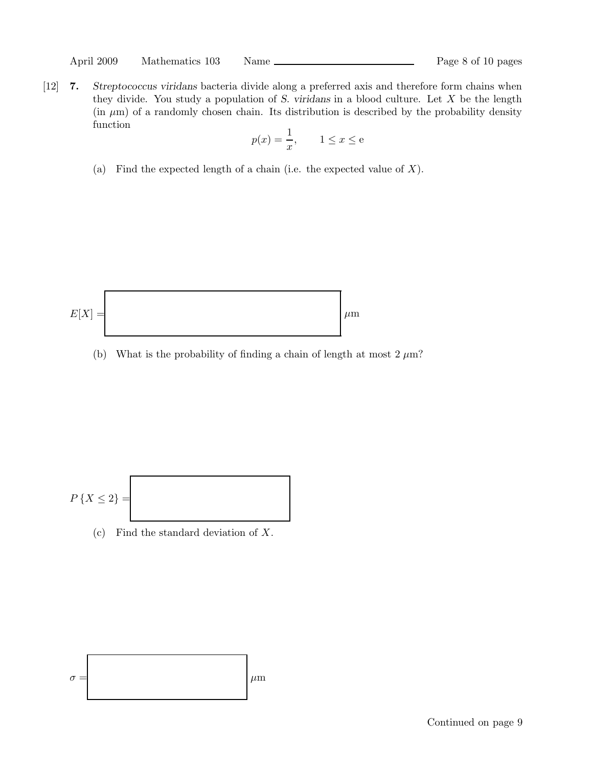[12] 7. Streptococcus viridans bacteria divide along a preferred axis and therefore form chains when they divide. You study a population of  $S$ . viridans in a blood culture. Let  $X$  be the length  $(in \mu m)$  of a randomly chosen chain. Its distribution is described by the probability density function

$$
p(x) = \frac{1}{x}, \qquad 1 \le x \le e
$$

(a) Find the expected length of a chain (i.e. the expected value of  $X$ ).



(b) What is the probability of finding a chain of length at most  $2 \mu m$ ?

$$
P\left\{X\leq 2\right\}=\boxed{\phantom{\bigg|}}
$$

(c) Find the standard deviation of X.

$$
\sigma = \left\lfloor \mu m \right\rfloor
$$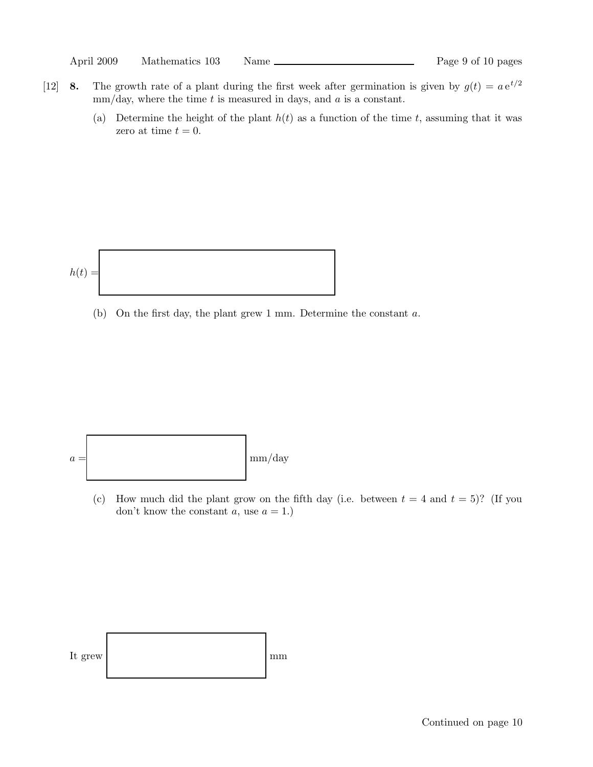|  | April 2009 | Mathematics 103 | Name |
|--|------------|-----------------|------|
|--|------------|-----------------|------|

- [12] 8. The growth rate of a plant during the first week after germination is given by  $g(t) = a e^{t/2}$  $mm/day$ , where the time t is measured in days, and a is a constant.
	- (a) Determine the height of the plant  $h(t)$  as a function of the time t, assuming that it was zero at time  $t = 0$ .



(b) On the first day, the plant grew 1 mm. Determine the constant a.



(c) How much did the plant grow on the fifth day (i.e. between  $t = 4$  and  $t = 5$ )? (If you don't know the constant  $a$ , use  $a = 1$ .)

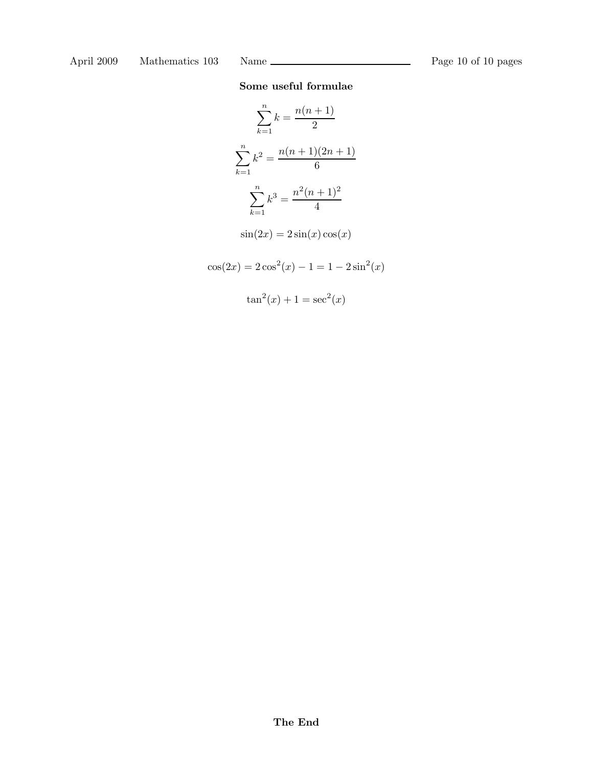# Some useful formulae

$$
\sum_{k=1}^{n} k = \frac{n(n+1)}{2}
$$

$$
\sum_{k=1}^{n} k^2 = \frac{n(n+1)(2n+1)}{6}
$$

$$
\sum_{k=1}^{n} k^3 = \frac{n^2(n+1)^2}{4}
$$

$$
\sin(2x) = 2\sin(x)\cos(x)
$$

$$
\cos(2x) = 2\cos^2(x) - 1 = 1 - 2\sin^2(x)
$$

$$
\tan^2(x) + 1 = \sec^2(x)
$$